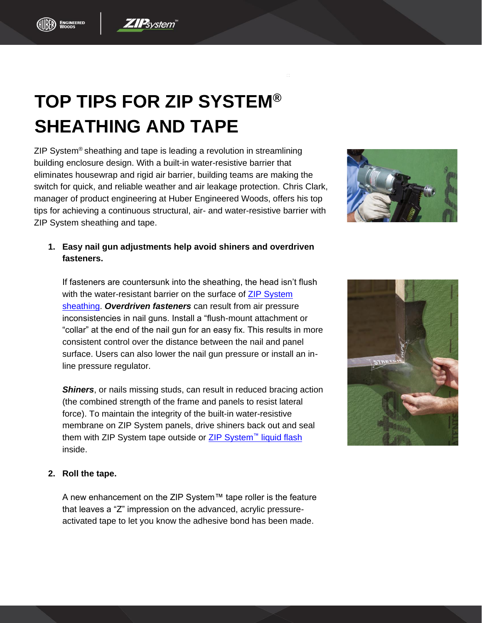## **TOP TIPS FOR ZIP SYSTEM® SHEATHING AND TAPE**

**ZIP**system

ZIP System® sheathing and tape is leading a revolution in streamlining building enclosure design. With a built-in water-resistive barrier that eliminates housewrap and rigid air barrier, building teams are making the switch for quick, and reliable weather and air leakage protection. Chris Clark, manager of product engineering at Huber Engineered Woods, offers his top tips for achieving a continuous structural, air- and water-resistive barrier with ZIP System sheathing and tape.

## **1. Easy nail gun adjustments help avoid shiners and overdriven fasteners.**

If fasteners are countersunk into the sheathing, the head isn't flush with the water-resistant barrier on the surface of **ZIP System** [sheathing.](http://www.ziprevolution.com/) *Overdriven fasteners* can result from air pressure inconsistencies in nail guns. Install a "flush-mount attachment or "collar" at the end of the nail gun for an easy fix. This results in more consistent control over the distance between the nail and panel surface. Users can also lower the nail gun pressure or install an inline pressure regulator.

**Shiners**, or nails missing studs, can result in reduced bracing action (the combined strength of the frame and panels to resist lateral force). To maintain the integrity of the built-in water-resistive membrane on ZIP System panels, drive shiners back out and seal them with [ZIP System](http://huberwood.com/zipsystem/products/zip-system-liquid-flash) tape outside or ZIP System™ liquid flash inside.

## **2. Roll the tape.**

A new enhancement on the ZIP System™ tape roller is the feature that leaves a "Z" impression on the advanced, acrylic pressureactivated tape to let you know the adhesive bond has been made.